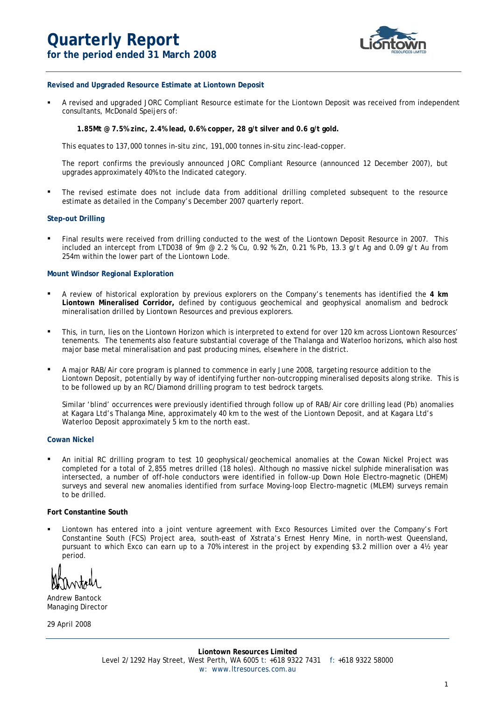# **Quarterly Report for the period ended 31 March 2008**



### **Revised and Upgraded Resource Estimate at Liontown Deposit**

 A revised and upgraded JORC Compliant Resource estimate for the Liontown Deposit was received from independent consultants, McDonald Speijers of:

 **1.85Mt @ 7.5% zinc, 2.4% lead, 0.6% copper, 28 g/t silver and 0.6 g/t gold.** 

This equates to 137,000 tonnes in-situ zinc, 191,000 tonnes in-situ zinc-lead-copper.

 The report confirms the previously announced JORC Compliant Resource (announced 12 December 2007), but upgrades approximately 40% to the Indicated category.

The revised estimate does not include data from additional drilling completed subsequent to the resource estimate as detailed in the Company's December 2007 quarterly report.

#### **Step-out Drilling**

**▪** Final results were received from drilling conducted to the west of the Liontown Deposit Resource in 2007. This included an intercept from LTD038 of 9m @ 2.2 % Cu, 0.92 % Zn, 0.21 % Pb, 13.3 g/t Ag and 0.09 g/t Au from 254m within the lower part of the Liontown Lode.

## **Mount Windsor Regional Exploration**

- **▪** A review of historical exploration by previous explorers on the Company's tenements has identified the **4 km Liontown Mineralised Corridor,** defined by contiguous geochemical and geophysical anomalism and bedrock mineralisation drilled by Liontown Resources and previous explorers.
- **▪** This, in turn, lies on the Liontown Horizon which is interpreted to extend for over 120 km across Liontown Resources' tenements. The tenements also feature substantial coverage of the Thalanga and Waterloo horizons, which also host major base metal mineralisation and past producing mines, elsewhere in the district.
- **▪** A major RAB/Air core program is planned to commence in early June 2008, targeting resource addition to the Liontown Deposit, potentially by way of identifying further non-outcropping mineralised deposits along strike. This is to be followed up by an RC/Diamond drilling program to test bedrock targets.

 Similar 'blind' occurrences were previously identified through follow up of RAB/Air core drilling lead (Pb) anomalies at Kagara Ltd's Thalanga Mine, approximately 40 km to the west of the Liontown Deposit, and at Kagara Ltd's Waterloo Deposit approximately 5 km to the north east.

#### **Cowan Nickel**

**▪** An initial RC drilling program to test 10 geophysical/geochemical anomalies at the Cowan Nickel Project was completed for a total of 2,855 metres drilled (18 holes). Although no massive nickel sulphide mineralisation was intersected, a number of off-hole conductors were identified in follow-up Down Hole Electro-magnetic (DHEM) surveys and several new anomalies identified from surface Moving-loop Electro-magnetic (MLEM) surveys remain to be drilled.

#### **Fort Constantine South**

 Liontown has entered into a joint venture agreement with Exco Resources Limited over the Company's Fort Constantine South (FCS) Project area, south-east of Xstrata's Ernest Henry Mine, in north-west Queensland, pursuant to which Exco can earn up to a 70% interest in the project by expending \$3.2 million over a 4½ year period.

Andrew Bantock Managing Director

29 April 2008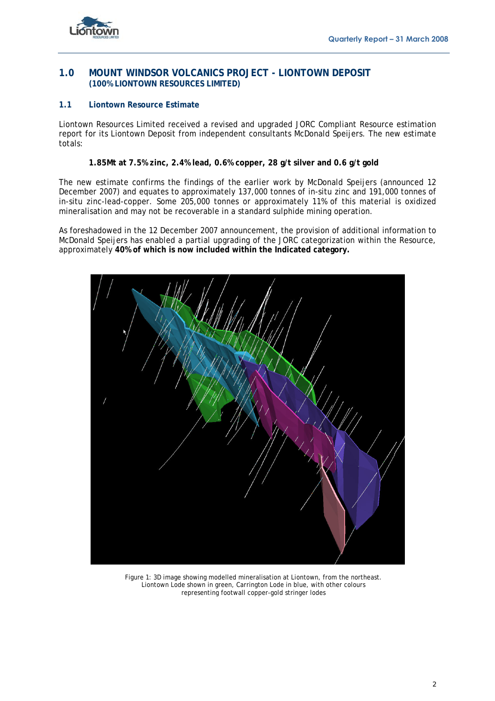

# **1.0 MOUNT WINDSOR VOLCANICS PROJECT - LIONTOWN DEPOSIT (100% LIONTOWN RESOURCES LIMITED)**

## **1.1 Liontown Resource Estimate**

Liontown Resources Limited received a revised and upgraded JORC Compliant Resource estimation report for its Liontown Deposit from independent consultants McDonald Speijers. The new estimate totals:

## **1.85Mt at 7.5% zinc, 2.4% lead, 0.6% copper, 28 g/t silver and 0.6 g/t gold**

The new estimate confirms the findings of the earlier work by McDonald Speijers (announced 12 December 2007) and equates to approximately 137,000 tonnes of in-situ zinc and 191,000 tonnes of in-situ zinc-lead-copper. Some 205,000 tonnes or approximately 11% of this material is oxidized mineralisation and may not be recoverable in a standard sulphide mining operation.

As foreshadowed in the 12 December 2007 announcement, the provision of additional information to McDonald Speijers has enabled a partial upgrading of the JORC categorization within the Resource, approximately **40% of which is now included within the Indicated category.** 



Figure 1: 3D image showing modelled mineralisation at Liontown, from the northeast. Liontown Lode shown in green, Carrington Lode in blue, with other colours representing footwall copper-gold stringer lodes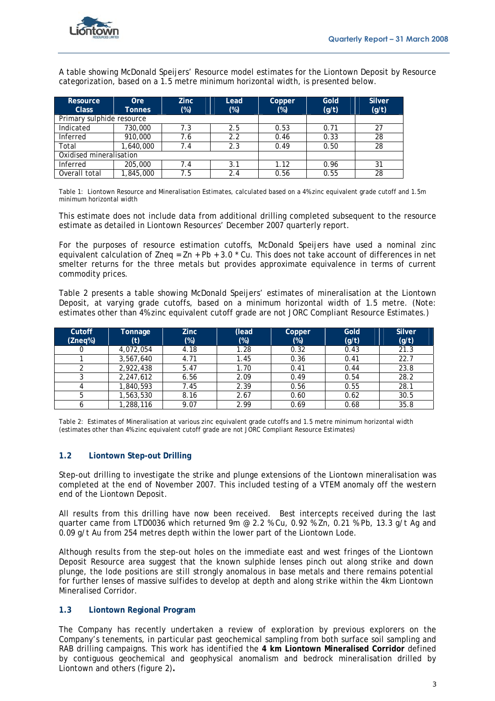

A table showing McDonald Speijers' Resource model estimates for the Liontown Deposit by Resource categorization, based on a 1.5 metre minimum horizontal width, is presented below.

| <b>Resource</b><br><b>Class</b> | <b>Ore</b><br><b>Tonnes</b> | Zinc.<br>$(\%)$ | Lead<br>$(\%)$ | Copper<br>$(\%)$ | Gold<br>(g/t) | <b>Silver</b><br>(g/t) |
|---------------------------------|-----------------------------|-----------------|----------------|------------------|---------------|------------------------|
| Primary sulphide resource       |                             |                 |                |                  |               |                        |
| Indicated                       | 730,000                     | 7.3             | 2.5            | 0.53             | 0.71          | 27                     |
| Inferred                        | 910,000                     | 7.6             | 2.2            | 0.46             | 0.33          | 28                     |
| Total                           | 1,640,000                   | 7.4             | 2.3            | 0.49             | 0.50          | 28                     |
| Oxidised mineralisation         |                             |                 |                |                  |               |                        |
| Inferred                        | 205,000                     | 7.4             | 3.1            | 1.12             | 0.96          | 31                     |
| Overall total                   | ,845,000                    | 7.5             | 2.4            | 0.56             | 0.55          | 28                     |

Table 1: Liontown Resource and Mineralisation Estimates, calculated based on a 4% zinc equivalent grade cutoff and 1.5m minimum horizontal width

This estimate does not include data from additional drilling completed subsequent to the resource estimate as detailed in Liontown Resources' December 2007 quarterly report.

For the purposes of resource estimation cutoffs, McDonald Speijers have used a nominal zinc equivalent calculation of Zneq =  $\text{Zn}$  + Pb + 3.0  $\text{*}$  Cu. This does not take account of differences in net smelter returns for the three metals but provides approximate equivalence in terms of current commodity prices.

Table 2 presents a table showing McDonald Speijers' estimates of mineralisation at the Liontown Deposit, at varying grade cutoffs, based on a minimum horizontal width of 1.5 metre. (Note: estimates other than 4% zinc equivalent cutoff grade are not JORC Compliant Resource Estimates.)

| Cutoff  | Tonnage   | <b>Zinc</b> | (lead  | Copper | Gold  | <b>Silver</b> |
|---------|-----------|-------------|--------|--------|-------|---------------|
| (Zneq%) | (t)       | $(\%)$      | $(\%)$ | $(\%)$ | (g/t) | (g/t)         |
|         | 4,072,054 | 4.18        | 1.28   | 0.32   | 0.43  | 21.3          |
|         | 3,567,640 | 4.71        | 1.45   | 0.36   | 0.41  | 22.7          |
|         | 2,922,438 | 5.47        | 1.70   | 0.41   | 0.44  | 23.8          |
|         | 2,247,612 | 6.56        | 2.09   | 0.49   | 0.54  | 28.2          |
|         | 1,840,593 | 7.45        | 2.39   | 0.56   | 0.55  | 28.1          |
|         | 1,563,530 | 8.16        | 2.67   | 0.60   | 0.62  | 30.5          |
|         | ,288,116  | 9.07        | 2.99   | 0.69   | 0.68  | 35.8          |

Table 2: Estimates of Mineralisation at various zinc equivalent grade cutoffs and 1.5 metre minimum horizontal width (estimates other than 4% zinc equivalent cutoff grade are not JORC Compliant Resource Estimates)

## **1.2 Liontown Step-out Drilling**

Step-out drilling to investigate the strike and plunge extensions of the Liontown mineralisation was completed at the end of November 2007. This included testing of a VTEM anomaly off the western end of the Liontown Deposit.

All results from this drilling have now been received. Best intercepts received during the last quarter came from LTD0036 which returned 9m @ 2.2 % Cu, 0.92 % Zn, 0.21 % Pb, 13.3 g/t Ag and 0.09 g/t Au from 254 metres depth within the lower part of the Liontown Lode.

Although results from the step-out holes on the immediate east and west fringes of the Liontown Deposit Resource area suggest that the known sulphide lenses pinch out along strike and down plunge, the lode positions are still strongly anomalous in base metals and there remains potential for further lenses of massive sulfides to develop at depth and along strike within the 4km Liontown Mineralised Corridor.

## **1.3 Liontown Regional Program**

The Company has recently undertaken a review of exploration by previous explorers on the Company's tenements, in particular past geochemical sampling from both surface soil sampling and RAB drilling campaigns. This work has identified the **4 km Liontown Mineralised Corridor** defined by contiguous geochemical and geophysical anomalism and bedrock mineralisation drilled by Liontown and others (figure 2)**.**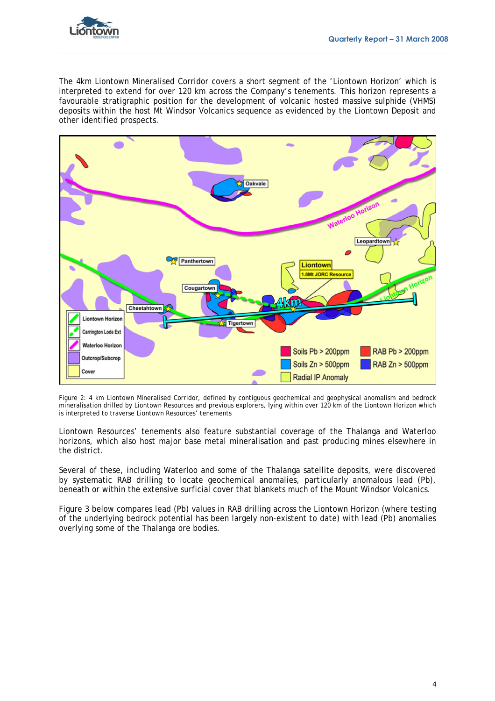

The 4km Liontown Mineralised Corridor covers a short segment of the 'Liontown Horizon' which is interpreted to extend for over 120 km across the Company's tenements. This horizon represents a favourable stratigraphic position for the development of volcanic hosted massive sulphide (VHMS) deposits within the host Mt Windsor Volcanics sequence as evidenced by the Liontown Deposit and other identified prospects.



Figure 2: 4 km Liontown Mineralised Corridor, defined by contiguous geochemical and geophysical anomalism and bedrock mineralisation drilled by Liontown Resources and previous explorers, lying within over 120 km of the Liontown Horizon which is interpreted to traverse Liontown Resources' tenements

Liontown Resources' tenements also feature substantial coverage of the Thalanga and Waterloo horizons, which also host major base metal mineralisation and past producing mines elsewhere in the district.

Several of these, including Waterloo and some of the Thalanga satellite deposits, were discovered by systematic RAB drilling to locate geochemical anomalies, particularly anomalous lead (Pb), beneath or within the extensive surficial cover that blankets much of the Mount Windsor Volcanics.

Figure 3 below compares lead (Pb) values in RAB drilling across the Liontown Horizon (where testing of the underlying bedrock potential has been largely non-existent to date) with lead (Pb) anomalies overlying some of the Thalanga ore bodies.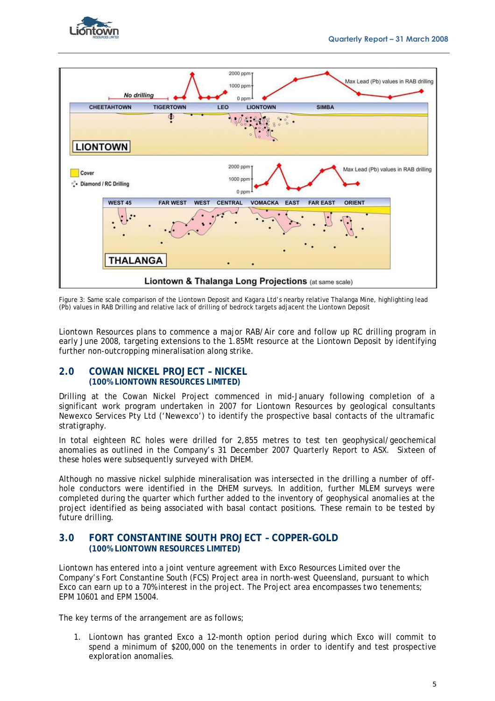



Figure 3: Same scale comparison of the Liontown Deposit and Kagara Ltd's nearby relative Thalanga Mine, highlighting lead (Pb) values in RAB Drilling and relative lack of drilling of bedrock targets adjacent the Liontown Deposit

Liontown Resources plans to commence a major RAB/Air core and follow up RC drilling program in early June 2008, targeting extensions to the 1.85Mt resource at the Liontown Deposit by identifying further non-outcropping mineralisation along strike.

## **2.0 COWAN NICKEL PROJECT – NICKEL (100% LIONTOWN RESOURCES LIMITED)**

Drilling at the Cowan Nickel Project commenced in mid-January following completion of a significant work program undertaken in 2007 for Liontown Resources by geological consultants Newexco Services Pty Ltd ('Newexco') to identify the prospective basal contacts of the ultramafic stratigraphy.

In total eighteen RC holes were drilled for 2,855 metres to test ten geophysical/geochemical anomalies as outlined in the Company's 31 December 2007 Quarterly Report to ASX. Sixteen of these holes were subsequently surveyed with DHEM.

Although no massive nickel sulphide mineralisation was intersected in the drilling a number of offhole conductors were identified in the DHEM surveys. In addition, further MLEM surveys were completed during the quarter which further added to the inventory of geophysical anomalies at the project identified as being associated with basal contact positions. These remain to be tested by future drilling.

# **3.0 FORT CONSTANTINE SOUTH PROJECT – COPPER-GOLD (100% LIONTOWN RESOURCES LIMITED)**

Liontown has entered into a joint venture agreement with Exco Resources Limited over the Company's Fort Constantine South (FCS) Project area in north-west Queensland, pursuant to which Exco can earn up to a 70% interest in the project. The Project area encompasses two tenements; EPM 10601 and EPM 15004.

The key terms of the arrangement are as follows;

1. Liontown has granted Exco a 12-month option period during which Exco will commit to spend a minimum of \$200,000 on the tenements in order to identify and test prospective exploration anomalies.